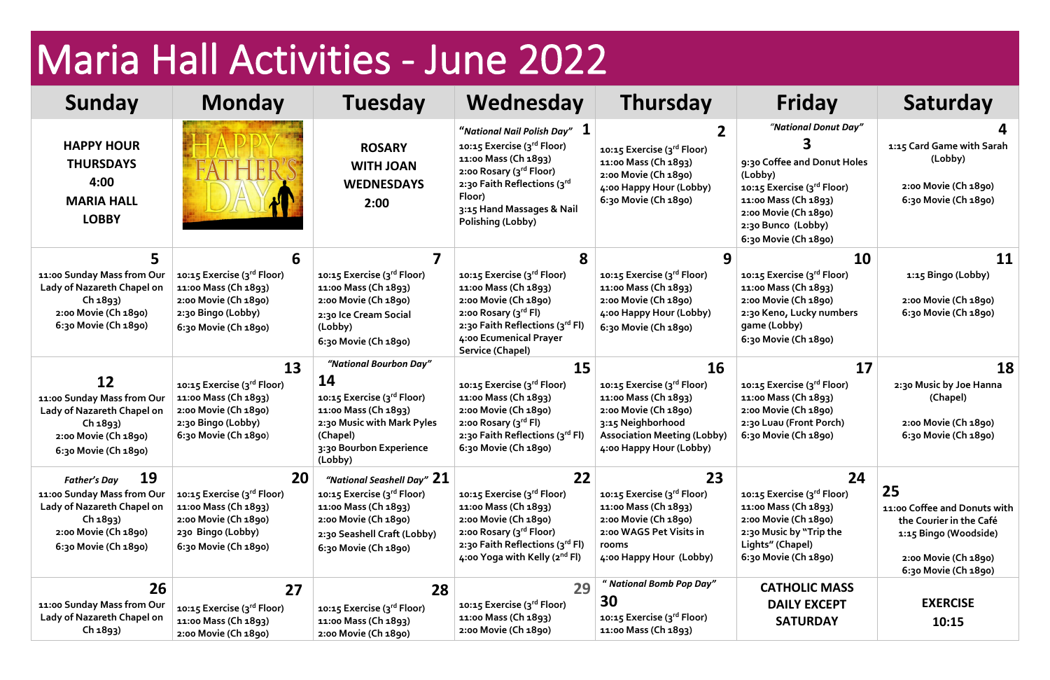## Maria Hall Activities - June 2022

| Sunday                                                                                                                     | <b>Monday</b>                                                                                                            | <b>Tuesday</b>                                                                                                                                     | Wednesday                                                                                                                                                                                                                                  | <b>Thursday</b>                                                                                                                                                  | Friday                                                                                                                                                                                     | Saturday                                                                                                                               |
|----------------------------------------------------------------------------------------------------------------------------|--------------------------------------------------------------------------------------------------------------------------|----------------------------------------------------------------------------------------------------------------------------------------------------|--------------------------------------------------------------------------------------------------------------------------------------------------------------------------------------------------------------------------------------------|------------------------------------------------------------------------------------------------------------------------------------------------------------------|--------------------------------------------------------------------------------------------------------------------------------------------------------------------------------------------|----------------------------------------------------------------------------------------------------------------------------------------|
|                                                                                                                            |                                                                                                                          |                                                                                                                                                    |                                                                                                                                                                                                                                            |                                                                                                                                                                  |                                                                                                                                                                                            |                                                                                                                                        |
| <b>HAPPY HOUR</b><br><b>THURSDAYS</b><br>4:00<br><b>MARIA HALL</b><br><b>LOBBY</b>                                         |                                                                                                                          | <b>ROSARY</b><br><b>WITH JOAN</b><br><b>WEDNESDAYS</b><br>2:00                                                                                     | "National Nail Polish Day" $\,\mathbf{1}\,$<br>10:15 Exercise (3rd Floor)<br>11:00 Mass (Ch 1893)<br>2:00 Rosary (3 <sup>rd</sup> Floor)<br>2:30 Faith Reflections (3rd<br>Floor)<br>3:15 Hand Massages & Nail<br><b>Polishing (Lobby)</b> | 10:15 Exercise (3rd Floor)<br>11:00 Mass (Ch 1893)<br>2:00 Movie (Ch 1890)<br>4:00 Happy Hour (Lobby)<br>6:30 Movie (Ch 1890)                                    | "National Donut Day"<br>9:30 Coffee and Donut Holes<br>(Lobby)<br>10:15 Exercise (3rd Floor)<br>11:00 Mass (Ch 1893)<br>2:00 Movie (Ch 1890)<br>2:30 Bunco (Lobby)<br>6:30 Movie (Ch 1890) | 1:15 Card Game with Sarah<br>(Lobby)<br>2:00 Movie (Ch 1890)<br>6:30 Movie (Ch 1890)                                                   |
|                                                                                                                            | 6                                                                                                                        |                                                                                                                                                    |                                                                                                                                                                                                                                            |                                                                                                                                                                  | 10                                                                                                                                                                                         | 11                                                                                                                                     |
| 11:00 Sunday Mass from Our<br>Lady of Nazareth Chapel on<br>Ch 1893)<br>2:00 Movie (Ch 1890)<br>6:30 Movie (Ch 1890)       | 10:15 Exercise (3rd Floor)<br>11:00 Mass (Ch 1893)<br>2:00 Movie (Ch 1890)<br>2:30 Bingo (Lobby)<br>6:30 Movie (Ch 1890) | 10:15 Exercise (3 <sup>rd</sup> Floor)<br>11:00 Mass (Ch 1893)<br>2:00 Movie (Ch 1890)<br>2:30 Ice Cream Social<br>(Lobby)<br>6:30 Movie (Ch 1890) | 10:15 Exercise (3rd Floor)<br>11:00 Mass (Ch 1893)<br>2:00 Movie (Ch 1890)<br>2:00 Rosary $(3^{\text{rd}}$ Fl)<br>2:30 Faith Reflections (3rd Fl)<br>4:00 Ecumenical Prayer<br><b>Service (Chapel)</b>                                     | 10:15 Exercise (3rd Floor)<br>11:00 Mass (Ch 1893)<br>2:00 Movie (Ch 1890)<br>4:00 Happy Hour (Lobby)<br>6:30 Movie (Ch 1890)                                    | 10:15 Exercise (3rd Floor)<br>11:00 Mass (Ch 1893)<br>2:00 Movie (Ch 1890)<br>2:30 Keno, Lucky numbers<br>game (Lobby)<br>6:30 Movie (Ch 1890)                                             | 1:15 Bingo (Lobby)<br>2:00 Movie (Ch 1890)<br>6:30 Movie (Ch 1890)                                                                     |
|                                                                                                                            | 13                                                                                                                       | "National Bourbon Day"                                                                                                                             | <b>15</b>                                                                                                                                                                                                                                  | 16                                                                                                                                                               | 17                                                                                                                                                                                         | 18                                                                                                                                     |
| 12<br>11:00 Sunday Mass from Our<br>Lady of Nazareth Chapel on<br>Ch 1893)<br>2:00 Movie (Ch 1890)<br>6:30 Movie (Ch 1890) | 10:15 Exercise (3rd Floor)<br>11:00 Mass (Ch 1893)<br>2:00 Movie (Ch 1890)<br>2:30 Bingo (Lobby)<br>6:30 Movie (Ch 1890) | 14<br>10:15 Exercise (3rd Floor)<br>11:00 Mass (Ch 1893)<br>2:30 Music with Mark Pyles<br>(Chapel)<br>3:30 Bourbon Experience<br>(Lobby)           | 10:15 Exercise (3rd Floor)<br>11:00 Mass (Ch 1893)<br>2:00 Movie (Ch 1890)<br>2:00 Rosary (3 <sup>rd</sup> Fl)<br>2:30 Faith Reflections (3rd Fl)<br>6:30 Movie (Ch 1890)                                                                  | 10:15 Exercise (3rd Floor)<br>11:00 Mass (Ch 1893)<br>2:00 Movie (Ch 1890)<br>3:15 Neighborhood<br><b>Association Meeting (Lobby)</b><br>4:00 Happy Hour (Lobby) | 10:15 Exercise (3 <sup>rd</sup> Floor)<br>11:00 Mass (Ch 1893)<br>2:00 Movie (Ch 1890)<br>2:30 Luau (Front Porch)<br>6:30 Movie (Ch 1890)                                                  | 2:30 Music by Joe Hanna<br>(Chapel)<br>2:00 Movie (Ch 1890)<br>6:30 Movie (Ch 1890)                                                    |
| 19<br><b>Father's Day</b>                                                                                                  | 20                                                                                                                       | "National Seashell Day" $21$                                                                                                                       | 22                                                                                                                                                                                                                                         | 23                                                                                                                                                               | 24                                                                                                                                                                                         |                                                                                                                                        |
| 11:00 Sunday Mass from Our<br>Lady of Nazareth Chapel on<br>Ch 1893)<br>2:00 Movie (Ch 1890)<br>6:30 Movie (Ch 1890)       | 10:15 Exercise (3rd Floor)<br>11:00 Mass (Ch 1893)<br>2:00 Movie (Ch 1890)<br>230 Bingo (Lobby)<br>6:30 Movie (Ch 1890)  | 10:15 Exercise (3rd Floor)<br>11:00 Mass (Ch 1893)<br>2:00 Movie (Ch 1890)<br>2:30 Seashell Craft (Lobby)<br>6:30 Movie (Ch 1890)                  | 10:15 Exercise (3rd Floor)<br>11:00 Mass (Ch 1893)<br>2:00 Movie (Ch 1890)<br>2:00 Rosary (3rd Floor)<br>2:30 Faith Reflections (3rd Fl)<br>4:00 Yoga with Kelly (2 <sup>nd</sup> Fl)                                                      | 10:15 Exercise (3rd Floor)<br>11:00 Mass (Ch 1893)<br>2:00 Movie (Ch 1890)<br>2:00 WAGS Pet Visits in<br>rooms<br>4:00 Happy Hour (Lobby)                        | 10:15 Exercise (3rd Floor)<br>11:00 Mass (Ch 1893)<br>2:00 Movie (Ch 1890)<br>2:30 Music by "Trip the<br>Lights" (Chapel)<br>6:30 Movie (Ch 1890)                                          | 25<br>11:00 Coffee and Donuts with<br>the Courier in the Café<br>1:15 Bingo (Woodside)<br>2:00 Movie (Ch 1890)<br>6:30 Movie (Ch 1890) |
| 26                                                                                                                         | 27                                                                                                                       | 28                                                                                                                                                 | 29                                                                                                                                                                                                                                         | " National Bomb Pop Day"                                                                                                                                         | <b>CATHOLIC MASS</b>                                                                                                                                                                       |                                                                                                                                        |
| 11:00 Sunday Mass from Our<br>Lady of Nazareth Chapel on<br>Ch 1893)                                                       | 10:15 Exercise (3rd Floor)<br>11:00 Mass (Ch 1893)<br>2:00 Movie (Ch 1890)                                               | 10:15 Exercise (3 <sup>rd</sup> Floor)<br>11:00 Mass (Ch 1893)<br>2:00 Movie (Ch 1890)                                                             | 10:15 Exercise (3rd Floor)<br>11:00 Mass (Ch 1893)<br>2:00 Movie (Ch 1890)                                                                                                                                                                 | 30<br>10:15 Exercise (3rd Floor)<br>11:00 Mass (Ch 1893)                                                                                                         | <b>DAILY EXCEPT</b><br><b>SATURDAY</b>                                                                                                                                                     | <b>EXERCISE</b><br>10:15                                                                                                               |